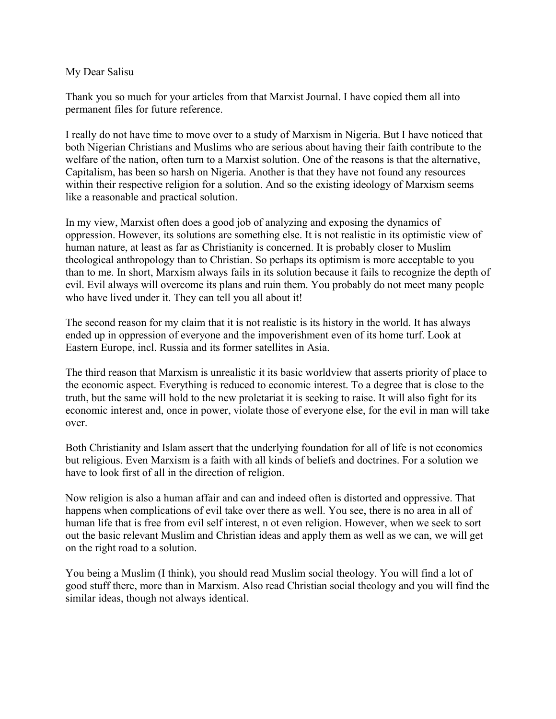## My Dear Salisu

Thank you so much for your articles from that Marxist Journal. I have copied them all into permanent files for future reference.

I really do not have time to move over to a study of Marxism in Nigeria. But I have noticed that both Nigerian Christians and Muslims who are serious about having their faith contribute to the welfare of the nation, often turn to a Marxist solution. One of the reasons is that the alternative, Capitalism, has been so harsh on Nigeria. Another is that they have not found any resources within their respective religion for a solution. And so the existing ideology of Marxism seems like a reasonable and practical solution.

In my view, Marxist often does a good job of analyzing and exposing the dynamics of oppression. However, its solutions are something else. It is not realistic in its optimistic view of human nature, at least as far as Christianity is concerned. It is probably closer to Muslim theological anthropology than to Christian. So perhaps its optimism is more acceptable to you than to me. In short, Marxism always fails in its solution because it fails to recognize the depth of evil. Evil always will overcome its plans and ruin them. You probably do not meet many people who have lived under it. They can tell you all about it!

The second reason for my claim that it is not realistic is its history in the world. It has always ended up in oppression of everyone and the impoverishment even of its home turf. Look at Eastern Europe, incl. Russia and its former satellites in Asia.

The third reason that Marxism is unrealistic it its basic worldview that asserts priority of place to the economic aspect. Everything is reduced to economic interest. To a degree that is close to the truth, but the same will hold to the new proletariat it is seeking to raise. It will also fight for its economic interest and, once in power, violate those of everyone else, for the evil in man will take over.

Both Christianity and Islam assert that the underlying foundation for all of life is not economics but religious. Even Marxism is a faith with all kinds of beliefs and doctrines. For a solution we have to look first of all in the direction of religion.

Now religion is also a human affair and can and indeed often is distorted and oppressive. That happens when complications of evil take over there as well. You see, there is no area in all of human life that is free from evil self interest, n ot even religion. However, when we seek to sort out the basic relevant Muslim and Christian ideas and apply them as well as we can, we will get on the right road to a solution.

You being a Muslim (I think), you should read Muslim social theology. You will find a lot of good stuff there, more than in Marxism. Also read Christian social theology and you will find the similar ideas, though not always identical.